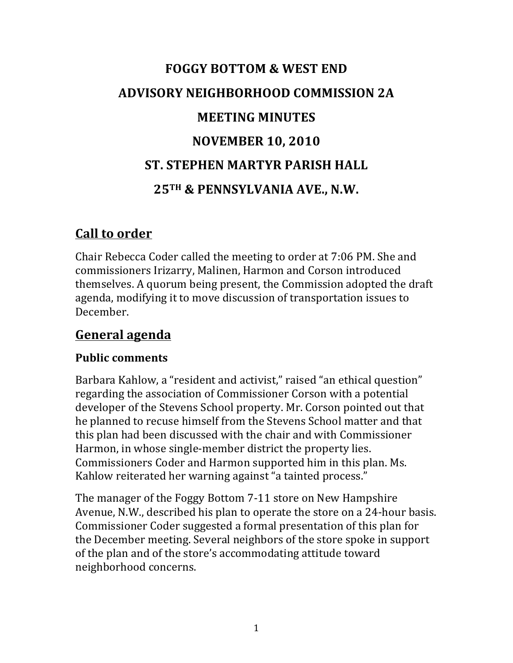# **FOGGY BOTTOM & WEST END ADVISORY NEIGHBORHOOD COMMISSION 2A MEETING MINUTES NOVEMBER 10, 2010 ST. STEPHEN MARTYR PARISH HALL 25TH & PENNSYLVANIA AVE., N.W.**

## **Call to order**

Chair Rebecca Coder called the meeting to order at 7:06 PM. She and commissioners Irizarry, Malinen, Harmon and Corson introduced themselves. A quorum being present, the Commission adopted the draft agenda, modifying it to move discussion of transportation issues to December.

## **General agenda**

## **Public comments**

Barbara Kahlow, a "resident and activist," raised "an ethical question" regarding the association of Commissioner Corson with a potential developer of the Stevens School property. Mr. Corson pointed out that he planned to recuse himself from the Stevens School matter and that this plan had been discussed with the chair and with Commissioner Harmon, in whose single-member district the property lies. Commissioners Coder and Harmon supported him in this plan. Ms. Kahlow reiterated her warning against "a tainted process."

The manager of the Foggy Bottom 7-11 store on New Hampshire Avenue, N.W., described his plan to operate the store on a 24-hour basis. Commissioner Coder suggested a formal presentation of this plan for the December meeting. Several neighbors of the store spoke in support of the plan and of the store's accommodating attitude toward neighborhood concerns.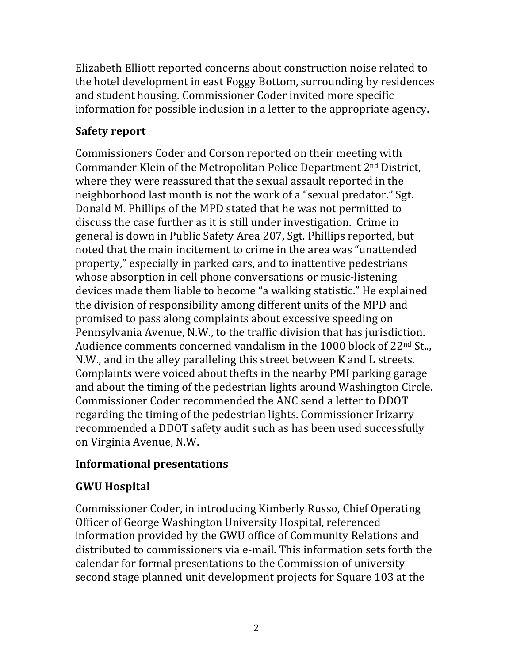Elizabeth Elliott reported concerns about construction noise related to the hotel development in east Foggy Bottom, surrounding by residences and student housing. Commissioner Coder invited more specific information for possible inclusion in a letter to the appropriate agency.

## **Safety report**

Commissioners Coder and Corson reported on their meeting with Commander Klein of the Metropolitan Police Department 2<sup>nd</sup> District, where they were reassured that the sexual assault reported in the neighborhood last month is not the work of a "sexual predator." Sgt. Donald M. Phillips of the MPD stated that he was not permitted to discuss the case further as it is still under investigation. Crime in general is down in Public Safety Area 207, Sgt. Phillips reported, but noted that the main incitement to crime in the area was "unattended property," especially in parked cars, and to inattentive pedestrians whose absorption in cell phone conversations or music-listening devices made them liable to become "a walking statistic." He explained the division of responsibility among different units of the MPD and promised to pass along complaints about excessive speeding on Pennsylvania Avenue, N.W., to the traffic division that has jurisdiction. Audience comments concerned vandalism in the 1000 block of  $22<sup>nd</sup>$  St.., N.W., and in the alley paralleling this street between K and L streets. Complaints were voiced about thefts in the nearby PMI parking garage and about the timing of the pedestrian lights around Washington Circle. Commissioner Coder recommended the ANC send a letter to DDOT regarding the timing of the pedestrian lights. Commissioner Irizarry recommended a DDOT safety audit such as has been used successfully on Virginia Avenue, N.W.

## **Informational presentations**

## **GWU Hospital**

Commissioner Coder, in introducing Kimberly Russo, Chief Operating Officer of George Washington University Hospital, referenced information provided by the GWU office of Community Relations and distributed to commissioners via e-mail. This information sets forth the calendar for formal presentations to the Commission of university second stage planned unit development projects for Square 103 at the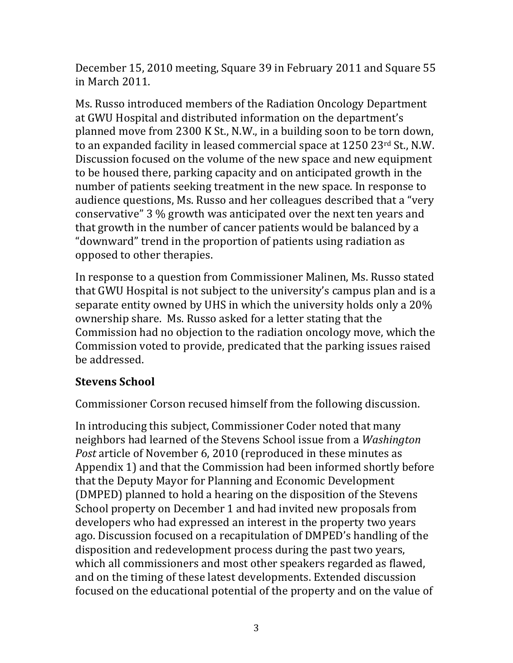December 15, 2010 meeting, Square 39 in February 2011 and Square 55 in March 2011.

Ms. Russo introduced members of the Radiation Oncology Department at GWU Hospital and distributed information on the department's planned move from 2300 K St., N.W., in a building soon to be torn down, to an expanded facility in leased commercial space at  $1250$   $23<sup>rd</sup>$  St., N.W. Discussion focused on the volume of the new space and new equipment to be housed there, parking capacity and on anticipated growth in the number of patients seeking treatment in the new space. In response to audience questions, Ms. Russo and her colleagues described that a "very" conservative" 3 % growth was anticipated over the next ten years and that growth in the number of cancer patients would be balanced by a " downward" trend in the proportion of patients using radiation as opposed to other therapies.

In response to a question from Commissioner Malinen, Ms. Russo stated that GWU Hospital is not subject to the university's campus plan and is a separate entity owned by UHS in which the university holds only a 20% ownership share. Ms. Russo asked for a letter stating that the Commission had no objection to the radiation oncology move, which the Commission voted to provide, predicated that the parking issues raised be addressed.

## **Stevens School**

Commissioner Corson recused himself from the following discussion.

In introducing this subject, Commissioner Coder noted that many neighbors had learned of the Stevens School issue from a *Washington Post* article of November 6, 2010 (reproduced in these minutes as Appendix 1) and that the Commission had been informed shortly before that the Deputy Mayor for Planning and Economic Development (DMPED) planned to hold a hearing on the disposition of the Stevens School property on December 1 and had invited new proposals from developers who had expressed an interest in the property two years ago. Discussion focused on a recapitulation of DMPED's handling of the disposition and redevelopment process during the past two years, which all commissioners and most other speakers regarded as flawed, and on the timing of these latest developments. Extended discussion focused on the educational potential of the property and on the value of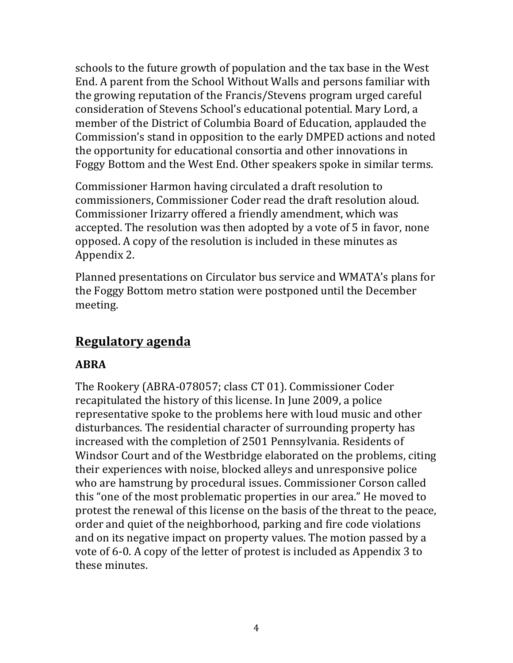schools to the future growth of population and the tax base in the West End. A parent from the School Without Walls and persons familiar with the growing reputation of the Francis/Stevens program urged careful consideration of Stevens School's educational potential. Mary Lord, a member of the District of Columbia Board of Education, applauded the Commission's stand in opposition to the early DMPED actions and noted the opportunity for educational consortia and other innovations in Foggy Bottom and the West End. Other speakers spoke in similar terms.

Commissioner Harmon having circulated a draft resolution to commissioners, Commissioner Coder read the draft resolution aloud. Commissioner Irizarry offered a friendly amendment, which was accepted. The resolution was then adopted by a vote of 5 in favor, none opposed. A copy of the resolution is included in these minutes as Appendix 2.

Planned presentations on Circulator bus service and WMATA's plans for the Foggy Bottom metro station were postponed until the December meeting. 

## **Regulatory agenda**

## **ABRA**

The Rookery (ABRA-078057; class CT 01). Commissioner Coder recapitulated the history of this license. In June 2009, a police representative spoke to the problems here with loud music and other disturbances. The residential character of surrounding property has increased with the completion of 2501 Pennsylvania. Residents of Windsor Court and of the Westbridge elaborated on the problems, citing their experiences with noise, blocked alleys and unresponsive police who are hamstrung by procedural issues. Commissioner Corson called this "one of the most problematic properties in our area." He moved to protest the renewal of this license on the basis of the threat to the peace, order and quiet of the neighborhood, parking and fire code violations and on its negative impact on property values. The motion passed by a vote of 6-0. A copy of the letter of protest is included as Appendix 3 to these minutes.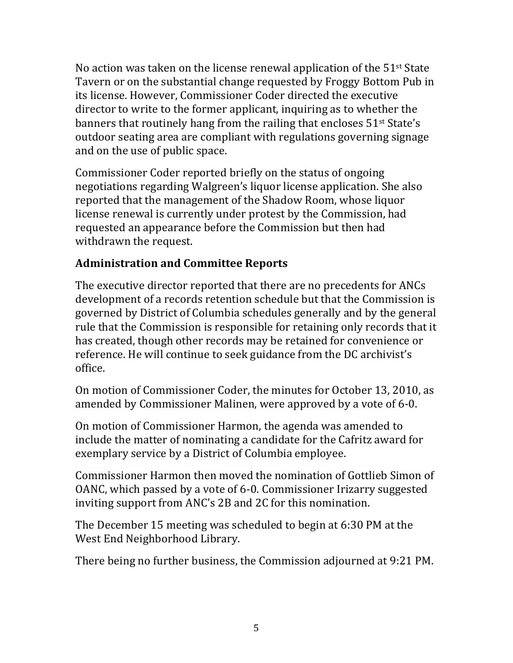No action was taken on the license renewal application of the  $51$ <sup>st</sup> State Tavern or on the substantial change requested by Froggy Bottom Pub in its license. However, Commissioner Coder directed the executive director to write to the former applicant, inquiring as to whether the banners that routinely hang from the railing that encloses  $51<sup>st</sup>$  State's outdoor seating area are compliant with regulations governing signage and on the use of public space.

Commissioner Coder reported briefly on the status of ongoing negotiations regarding Walgreen's liquor license application. She also reported that the management of the Shadow Room, whose liquor license renewal is currently under protest by the Commission, had requested an appearance before the Commission but then had withdrawn the request.

## **Administration and Committee Reports**

The executive director reported that there are no precedents for ANCs development of a records retention schedule but that the Commission is governed by District of Columbia schedules generally and by the general rule that the Commission is responsible for retaining only records that it has created, though other records may be retained for convenience or reference. He will continue to seek guidance from the DC archivist's office.

On motion of Commissioner Coder, the minutes for October 13, 2010, as amended by Commissioner Malinen, were approved by a vote of 6-0.

On motion of Commissioner Harmon, the agenda was amended to include the matter of nominating a candidate for the Cafritz award for exemplary service by a District of Columbia employee.

Commissioner Harmon then moved the nomination of Gottlieb Simon of OANC, which passed by a vote of 6-0. Commissioner Irizarry suggested inviting support from ANC's 2B and 2C for this nomination.

The December 15 meeting was scheduled to begin at 6:30 PM at the West End Neighborhood Library.

There being no further business, the Commission adjourned at 9:21 PM.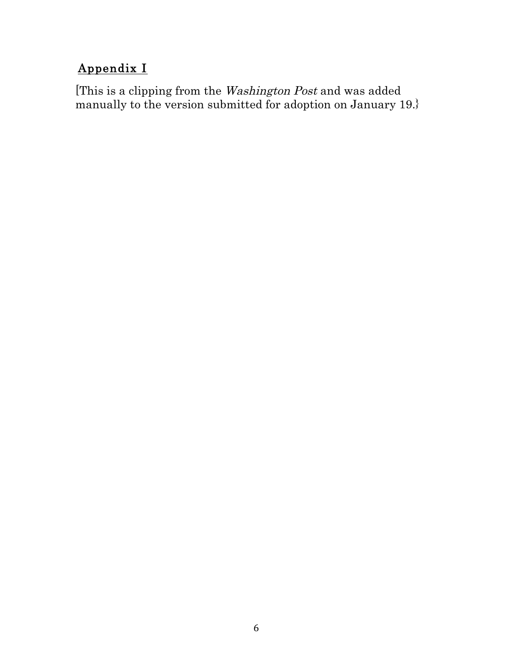# Appendix I

[This is a clipping from the Washington Post and was added manually to the version submitted for adoption on January 19.}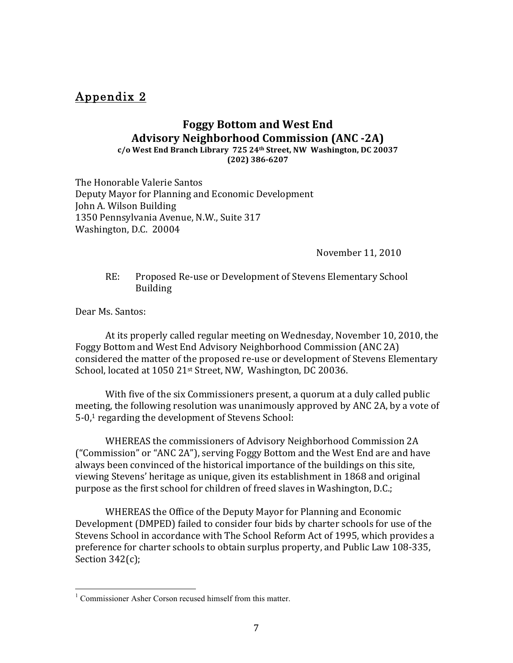#### Appendix 2

## **Foggy Bottom and West End Advisory Neighborhood Commission (ANC -2A)**

**c/o West End Branch Library 725 24th Street, NW Washington, DC 20037 (202) 386-6207**

The Honorable Valerie Santos Deputy Mayor for Planning and Economic Development John A. Wilson Building 1350 Pennsylvania Avenue, N.W., Suite 317 Washington, D.C. 20004

November 11, 2010

RE: Proposed Re-use or Development of Stevens Elementary School Building

Dear Ms. Santos:

At its properly called regular meeting on Wednesday, November 10, 2010, the Foggy Bottom and West End Advisory Neighborhood Commission (ANC 2A) considered the matter of the proposed re-use or development of Stevens Elementary School, located at 1050 21st Street, NW, Washington, DC 20036.

With five of the six Commissioners present, a quorum at a duly called public meeting, the following resolution was unanimously approved by ANC 2A, by a vote of  $5-0<sup>1</sup>$  regarding the development of Stevens School:

WHEREAS the commissioners of Advisory Neighborhood Commission 2A ("Commission" or "ANC 2A"), serving Foggy Bottom and the West End are and have always been convinced of the historical importance of the buildings on this site, viewing Stevens' heritage as unique, given its establishment in 1868 and original purpose as the first school for children of freed slaves in Washington, D.C.;

WHEREAS the Office of the Deputy Mayor for Planning and Economic Development (DMPED) failed to consider four bids by charter schools for use of the Stevens School in accordance with The School Reform Act of 1995, which provides a preference for charter schools to obtain surplus property, and Public Law 108-335, Section  $342(c)$ ;

<sup>&</sup>lt;sup>1</sup> Commissioner Asher Corson recused himself from this matter.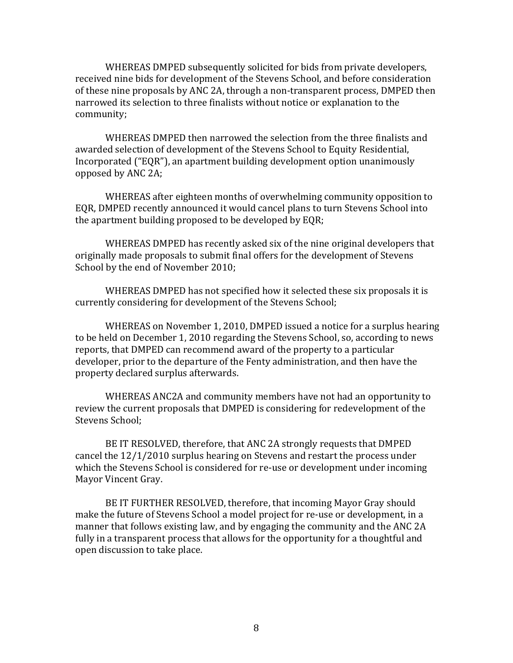WHEREAS DMPED subsequently solicited for bids from private developers, received nine bids for development of the Stevens School, and before consideration of these nine proposals by ANC 2A, through a non-transparent process, DMPED then narrowed its selection to three finalists without notice or explanation to the community; 

WHEREAS DMPED then narrowed the selection from the three finalists and awarded selection of development of the Stevens School to Equity Residential, Incorporated ("EQR"), an apartment building development option unanimously opposed by ANC 2A;

WHEREAS after eighteen months of overwhelming community opposition to EQR, DMPED recently announced it would cancel plans to turn Stevens School into the apartment building proposed to be developed by EQR;

WHEREAS DMPED has recently asked six of the nine original developers that originally made proposals to submit final offers for the development of Stevens School by the end of November 2010;

WHEREAS DMPED has not specified how it selected these six proposals it is currently considering for development of the Stevens School;

WHEREAS on November 1, 2010, DMPED issued a notice for a surplus hearing to be held on December 1, 2010 regarding the Stevens School, so, according to news reports, that DMPED can recommend award of the property to a particular developer, prior to the departure of the Fenty administration, and then have the property declared surplus afterwards.

WHEREAS ANC2A and community members have not had an opportunity to review the current proposals that DMPED is considering for redevelopment of the Stevens School:

BE IT RESOLVED, therefore, that ANC 2A strongly requests that DMPED cancel the  $12/1/2010$  surplus hearing on Stevens and restart the process under which the Stevens School is considered for re-use or development under incoming Mayor Vincent Gray.

BE IT FURTHER RESOLVED, therefore, that incoming Mayor Gray should make the future of Stevens School a model project for re-use or development, in a manner that follows existing law, and by engaging the community and the ANC 2A fully in a transparent process that allows for the opportunity for a thoughtful and open discussion to take place.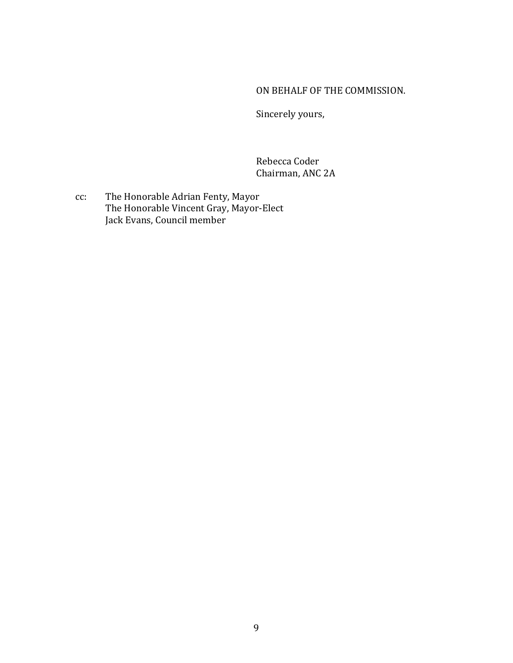#### ON BEHALF OF THE COMMISSION.

Sincerely yours,

Rebecca Coder Chairman, ANC 2A

cc: The Honorable Adrian Fenty, Mayor The Honorable Vincent Gray, Mayor-Elect Jack Evans, Council member